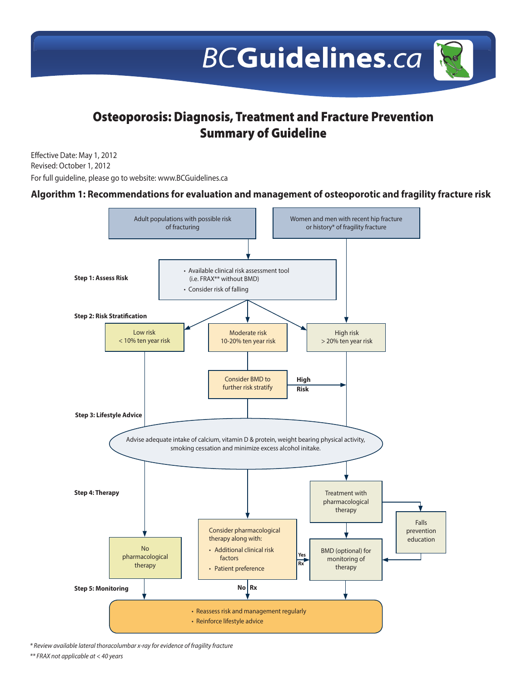# **BCGuidelines.ca**

# Osteoporosis: Diagnosis, Treatment and Fracture Prevention Summary of Guideline

Effective Date: May 1, 2012 Revised: October 1, 2012 For full guideline, please go to website: www.BCGuidelines.ca

### **Algorithm 1: Recommendations for evaluation and management of osteoporotic and fragility fracture risk**



*\* Review available lateral thoracolumbar x-ray for evidence of fragility fracture*

*\*\* FRAX not applicable at < 40 years*